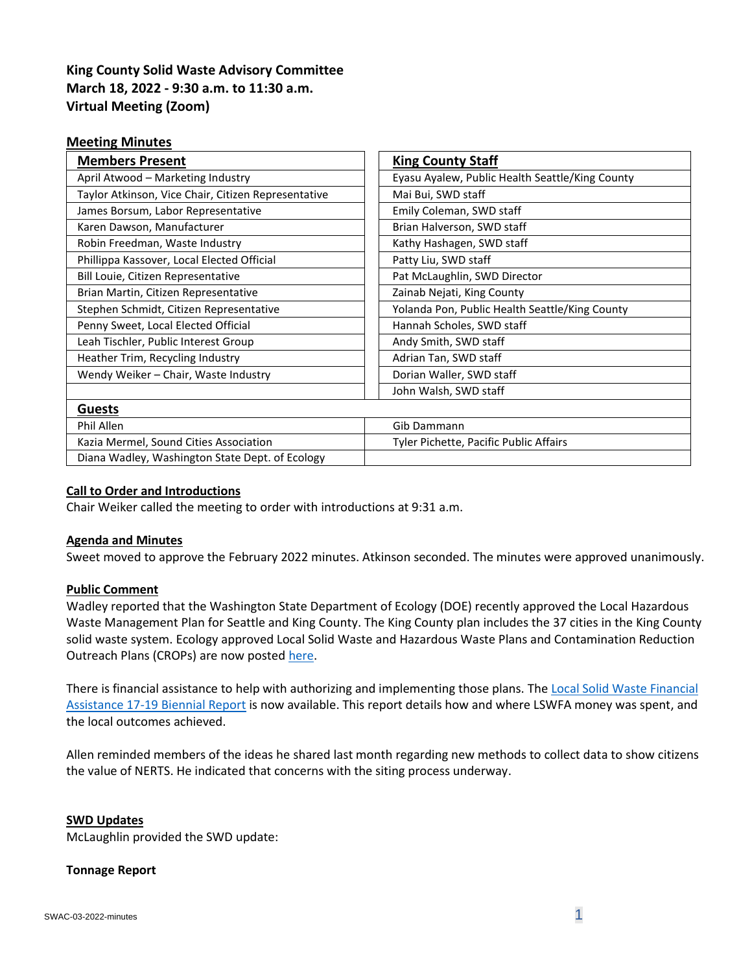# **King County Solid Waste Advisory Committee March 18, 2022 - 9:30 a.m. to 11:30 a.m. Virtual Meeting (Zoom)**

### **Meeting Minutes**

| <b>Members Present</b>                              | <b>King County Staff</b>                        |
|-----------------------------------------------------|-------------------------------------------------|
| April Atwood - Marketing Industry                   | Eyasu Ayalew, Public Health Seattle/King County |
| Taylor Atkinson, Vice Chair, Citizen Representative | Mai Bui, SWD staff                              |
| James Borsum, Labor Representative                  | Emily Coleman, SWD staff                        |
| Karen Dawson, Manufacturer                          | Brian Halverson, SWD staff                      |
| Robin Freedman, Waste Industry                      | Kathy Hashagen, SWD staff                       |
| Phillippa Kassover, Local Elected Official          | Patty Liu, SWD staff                            |
| Bill Louie, Citizen Representative                  | Pat McLaughlin, SWD Director                    |
| Brian Martin, Citizen Representative                | Zainab Nejati, King County                      |
| Stephen Schmidt, Citizen Representative             | Yolanda Pon, Public Health Seattle/King County  |
| Penny Sweet, Local Elected Official                 | Hannah Scholes, SWD staff                       |
| Leah Tischler, Public Interest Group                | Andy Smith, SWD staff                           |
| Heather Trim, Recycling Industry                    | Adrian Tan, SWD staff                           |
| Wendy Weiker - Chair, Waste Industry                | Dorian Waller, SWD staff                        |
|                                                     | John Walsh, SWD staff                           |
| <b>Guests</b>                                       |                                                 |
| Phil Allen                                          | Gib Dammann                                     |
| Kazia Mermel, Sound Cities Association              | Tyler Pichette, Pacific Public Affairs          |
| Diana Wadley, Washington State Dept. of Ecology     |                                                 |

### **Call to Order and Introductions**

Chair Weiker called the meeting to order with introductions at 9:31 a.m.

### **Agenda and Minutes**

Sweet moved to approve the February 2022 minutes. Atkinson seconded. The minutes were approved unanimously.

#### **Public Comment**

Wadley reported that the Washington State Department of Ecology (DOE) recently approved the Local Hazardous Waste Management Plan for Seattle and King County. The King County plan includes the 37 cities in the King County solid waste system. Ecology approved Local Solid Waste and Hazardous Waste Plans and Contamination Reduction Outreach Plans (CROPs) are now posted [here.](https://app.box.com/s/u0cwvenm0wp0axx4yurjgtajigk00c74)

There is financial assistance to help with authorizing and implementing those plans. The Local Solid Waste Financial [Assistance 17-19 Biennial Report](https://apps.ecology.wa.gov/publications/SummaryPages/2207005.html) is now available. This report details how and where LSWFA money was spent, and the local outcomes achieved.

Allen reminded members of the ideas he shared last month regarding new methods to collect data to show citizens the value of NERTS. He indicated that concerns with the siting process underway.

#### **SWD Updates**

McLaughlin provided the SWD update:

#### **Tonnage Report**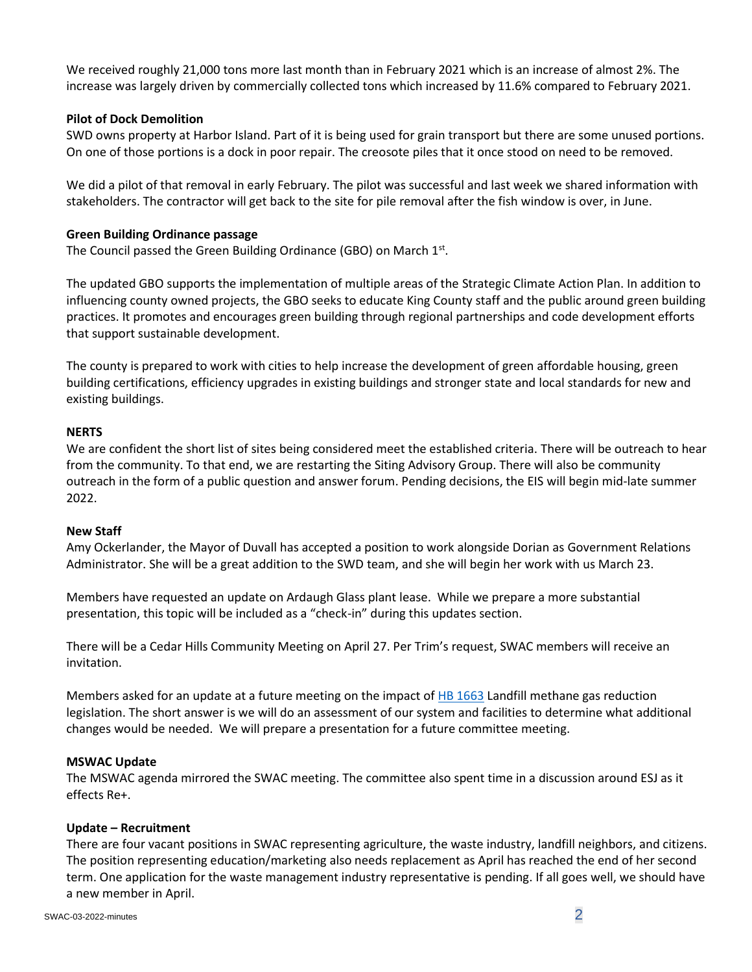We received roughly 21,000 tons more last month than in February 2021 which is an increase of almost 2%. The increase was largely driven by commercially collected tons which increased by 11.6% compared to February 2021.

### **Pilot of Dock Demolition**

SWD owns property at Harbor Island. Part of it is being used for grain transport but there are some unused portions. On one of those portions is a dock in poor repair. The creosote piles that it once stood on need to be removed.

We did a pilot of that removal in early February. The pilot was successful and last week we shared information with stakeholders. The contractor will get back to the site for pile removal after the fish window is over, in June.

#### **Green Building Ordinance passage**

The Council passed the Green Building Ordinance (GBO) on March  $1<sup>st</sup>$ .

The updated GBO supports the implementation of multiple areas of the Strategic Climate Action Plan. In addition to influencing county owned projects, the GBO seeks to educate King County staff and the public around green building practices. It promotes and encourages green building through regional partnerships and code development efforts that support sustainable development.

The county is prepared to work with cities to help increase the development of green affordable housing, green building certifications, efficiency upgrades in existing buildings and stronger state and local standards for new and existing buildings.

#### **NERTS**

We are confident the short list of sites being considered meet the established criteria. There will be outreach to hear from the community. To that end, we are restarting the Siting Advisory Group. There will also be community outreach in the form of a public question and answer forum. Pending decisions, the EIS will begin mid-late summer 2022.

#### **New Staff**

Amy Ockerlander, the Mayor of Duvall has accepted a position to work alongside Dorian as Government Relations Administrator. She will be a great addition to the SWD team, and she will begin her work with us March 23.

Members have requested an update on Ardaugh Glass plant lease. While we prepare a more substantial presentation, this topic will be included as a "check-in" during this updates section.

There will be a Cedar Hills Community Meeting on April 27. Per Trim's request, SWAC members will receive an invitation.

Members asked for an update at a future meeting on the impact o[f HB 1663](https://app.leg.wa.gov/billsummary?billnumber=1663&year=2022) Landfill methane gas reduction legislation. The short answer is we will do an assessment of our system and facilities to determine what additional changes would be needed. We will prepare a presentation for a future committee meeting.

#### **MSWAC Update**

The MSWAC agenda mirrored the SWAC meeting. The committee also spent time in a discussion around ESJ as it effects Re+.

#### **Update – Recruitment**

There are four vacant positions in SWAC representing agriculture, the waste industry, landfill neighbors, and citizens. The position representing education/marketing also needs replacement as April has reached the end of her second term. One application for the waste management industry representative is pending. If all goes well, we should have a new member in April.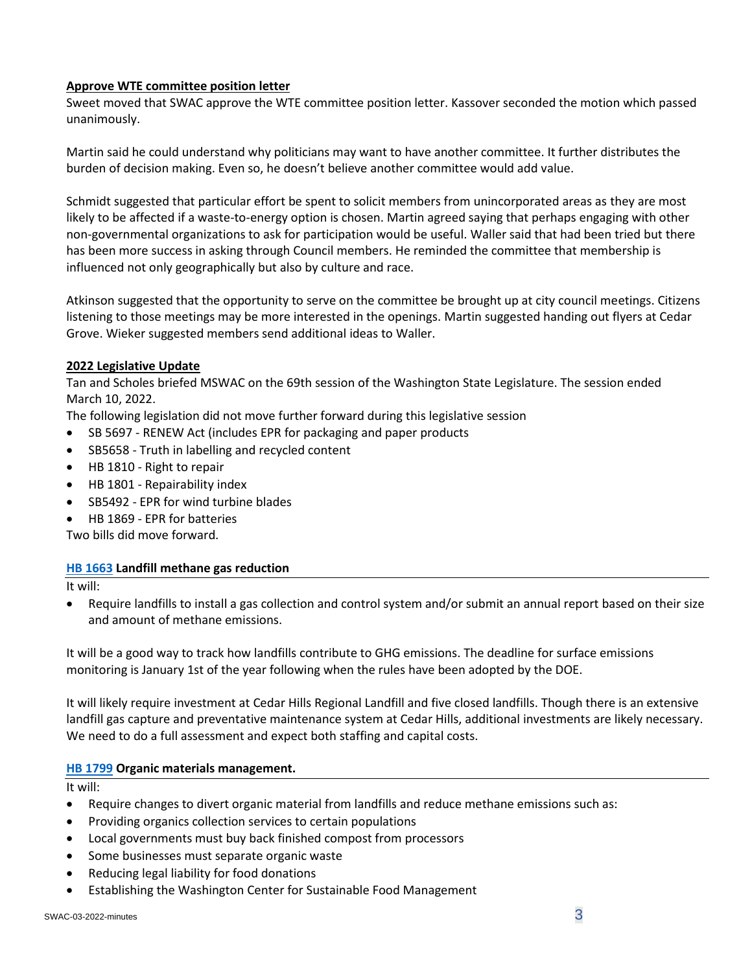### **Approve WTE committee position letter**

Sweet moved that SWAC approve the WTE committee position letter. Kassover seconded the motion which passed unanimously.

Martin said he could understand why politicians may want to have another committee. It further distributes the burden of decision making. Even so, he doesn't believe another committee would add value.

Schmidt suggested that particular effort be spent to solicit members from unincorporated areas as they are most likely to be affected if a waste-to-energy option is chosen. Martin agreed saying that perhaps engaging with other non-governmental organizations to ask for participation would be useful. Waller said that had been tried but there has been more success in asking through Council members. He reminded the committee that membership is influenced not only geographically but also by culture and race.

Atkinson suggested that the opportunity to serve on the committee be brought up at city council meetings. Citizens listening to those meetings may be more interested in the openings. Martin suggested handing out flyers at Cedar Grove. Wieker suggested members send additional ideas to Waller.

## **2022 Legislative Update**

Tan and Scholes briefed MSWAC on the 69th session of the Washington State Legislature. The session ended March 10, 2022.

The following legislation did not move further forward during this legislative session

- SB 5697 RENEW Act (includes EPR for packaging and paper products
- SB5658 Truth in labelling and recycled content
- HB 1810 Right to repair
- HB 1801 Repairability index
- SB5492 EPR for wind turbine blades
- HB 1869 EPR for batteries

Two bills did move forward.

### **[HB 1663](https://app.leg.wa.gov/billsummary?billnumber=1663&year=2022) Landfill methane gas reduction**

It will:

• Require landfills to install a gas collection and control system and/or submit an annual report based on their size and amount of methane emissions.

It will be a good way to track how landfills contribute to GHG emissions. The deadline for surface emissions monitoring is January 1st of the year following when the rules have been adopted by the DOE.

It will likely require investment at Cedar Hills Regional Landfill and five closed landfills. Though there is an extensive landfill gas capture and preventative maintenance system at Cedar Hills, additional investments are likely necessary. We need to do a full assessment and expect both staffing and capital costs.

### **[HB 1799](https://app.leg.wa.gov/billsummary?BillNumber=1799&Year=2021&Initiative=false) Organic materials management.**

It will:

- Require changes to divert organic material from landfills and reduce methane emissions such as:
- Providing organics collection services to certain populations
- Local governments must buy back finished compost from processors
- Some businesses must separate organic waste
- Reducing legal liability for food donations
- Establishing the Washington Center for Sustainable Food Management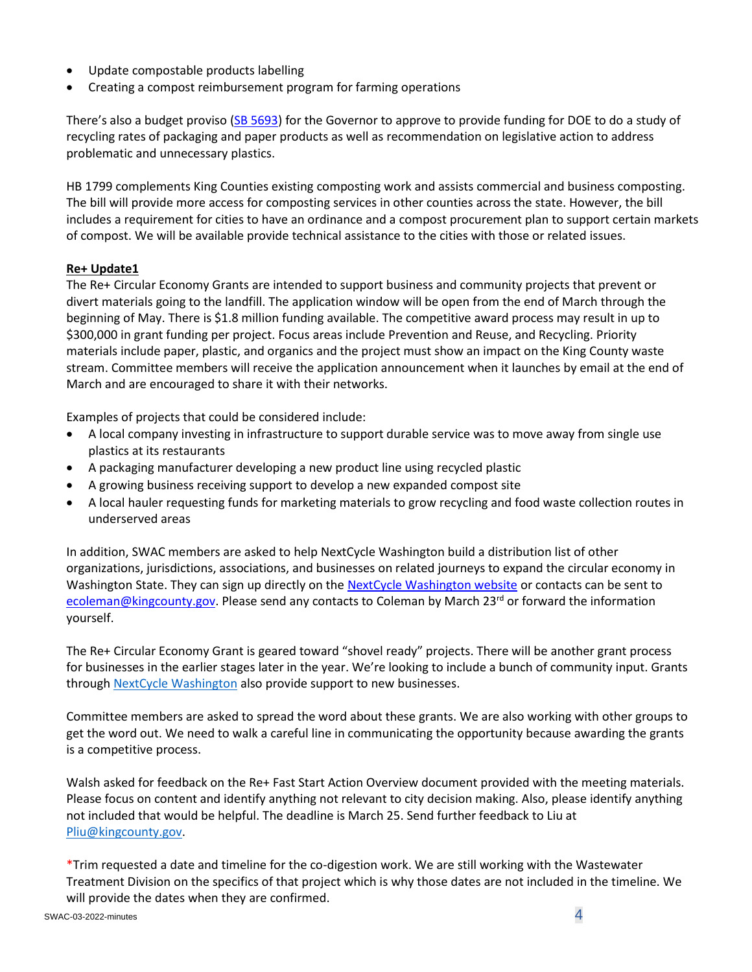- Update compostable products labelling
- Creating a compost reimbursement program for farming operations

There's also a budget proviso [\(SB 5693\)](https://app.leg.wa.gov/billsummary?BillNumber=5693&Year=2021&Initiative=false) for the Governor to approve to provide funding for DOE to do a study of recycling rates of packaging and paper products as well as recommendation on legislative action to address problematic and unnecessary plastics.

HB 1799 complements King Counties existing composting work and assists commercial and business composting. The bill will provide more access for composting services in other counties across the state. However, the bill includes a requirement for cities to have an ordinance and a compost procurement plan to support certain markets of compost. We will be available provide technical assistance to the cities with those or related issues.

### **Re+ Update1**

The Re+ Circular Economy Grants are intended to support business and community projects that prevent or divert materials going to the landfill. The application window will be open from the end of March through the beginning of May. There is \$1.8 million funding available. The competitive award process may result in up to \$300,000 in grant funding per project. Focus areas include Prevention and Reuse, and Recycling. Priority materials include paper, plastic, and organics and the project must show an impact on the King County waste stream. Committee members will receive the application announcement when it launches by email at the end of March and are encouraged to share it with their networks.

Examples of projects that could be considered include:

- A local company investing in infrastructure to support durable service was to move away from single use plastics at its restaurants
- A packaging manufacturer developing a new product line using recycled plastic
- A growing business receiving support to develop a new expanded compost site
- A local hauler requesting funds for marketing materials to grow recycling and food waste collection routes in underserved areas

In addition, SWAC members are asked to help NextCycle Washington build a distribution list of other organizations, jurisdictions, associations, and businesses on related journeys to expand the circular economy in Washington State. They can sign up directly on the [NextCycle Washington website](https://www.nextcyclewashington.com/) or contacts can be sent to [ecoleman@kingcounty.gov.](mailto:ecoleman@kingcounty.gov) Please send any contacts to Coleman by March 23<sup>rd</sup> or forward the information yourself.

The Re+ Circular Economy Grant is geared toward "shovel ready" projects. There will be another grant process for businesses in the earlier stages later in the year. We're looking to include a bunch of community input. Grants through NextCycle [Washington](https://www.nextcyclewashington.com/) also provide support to new businesses.

Committee members are asked to spread the word about these grants. We are also working with other groups to get the word out. We need to walk a careful line in communicating the opportunity because awarding the grants is a competitive process.

Walsh asked for feedback on the Re+ Fast Start Action Overview document provided with the meeting materials. Please focus on content and identify anything not relevant to city decision making. Also, please identify anything not included that would be helpful. The deadline is March 25. Send further feedback to Liu at [Pliu@kingcounty.gov.](mailto:Pliu@kingcounty.gov)

\*Trim requested a date and timeline for the co-digestion work. We are still working with the Wastewater Treatment Division on the specifics of that project which is why those dates are not included in the timeline. We will provide the dates when they are confirmed.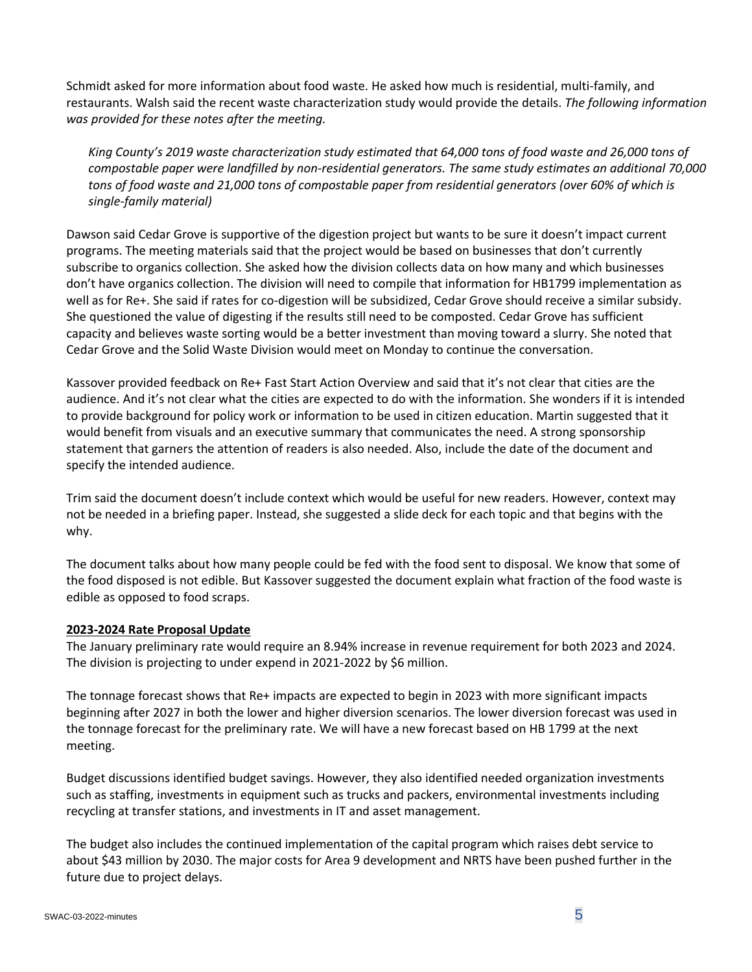Schmidt asked for more information about food waste. He asked how much is residential, multi-family, and restaurants. Walsh said the recent waste characterization study would provide the details. *The following information was provided for these notes after the meeting.*

*King County's 2019 waste characterization study estimated that 64,000 tons of food waste and 26,000 tons of compostable paper were landfilled by non-residential generators. The same study estimates an additional 70,000 tons of food waste and 21,000 tons of compostable paper from residential generators (over 60% of which is single-family material)*

Dawson said Cedar Grove is supportive of the digestion project but wants to be sure it doesn't impact current programs. The meeting materials said that the project would be based on businesses that don't currently subscribe to organics collection. She asked how the division collects data on how many and which businesses don't have organics collection. The division will need to compile that information for HB1799 implementation as well as for Re+. She said if rates for co-digestion will be subsidized, Cedar Grove should receive a similar subsidy. She questioned the value of digesting if the results still need to be composted. Cedar Grove has sufficient capacity and believes waste sorting would be a better investment than moving toward a slurry. She noted that Cedar Grove and the Solid Waste Division would meet on Monday to continue the conversation.

Kassover provided feedback on Re+ Fast Start Action Overview and said that it's not clear that cities are the audience. And it's not clear what the cities are expected to do with the information. She wonders if it is intended to provide background for policy work or information to be used in citizen education. Martin suggested that it would benefit from visuals and an executive summary that communicates the need. A strong sponsorship statement that garners the attention of readers is also needed. Also, include the date of the document and specify the intended audience.

Trim said the document doesn't include context which would be useful for new readers. However, context may not be needed in a briefing paper. Instead, she suggested a slide deck for each topic and that begins with the why.

The document talks about how many people could be fed with the food sent to disposal. We know that some of the food disposed is not edible. But Kassover suggested the document explain what fraction of the food waste is edible as opposed to food scraps.

### **2023-2024 Rate Proposal Update**

The January preliminary rate would require an 8.94% increase in revenue requirement for both 2023 and 2024. The division is projecting to under expend in 2021-2022 by \$6 million.

The tonnage forecast shows that Re+ impacts are expected to begin in 2023 with more significant impacts beginning after 2027 in both the lower and higher diversion scenarios. The lower diversion forecast was used in the tonnage forecast for the preliminary rate. We will have a new forecast based on HB 1799 at the next meeting.

Budget discussions identified budget savings. However, they also identified needed organization investments such as staffing, investments in equipment such as trucks and packers, environmental investments including recycling at transfer stations, and investments in IT and asset management.

The budget also includes the continued implementation of the capital program which raises debt service to about \$43 million by 2030. The major costs for Area 9 development and NRTS have been pushed further in the future due to project delays.